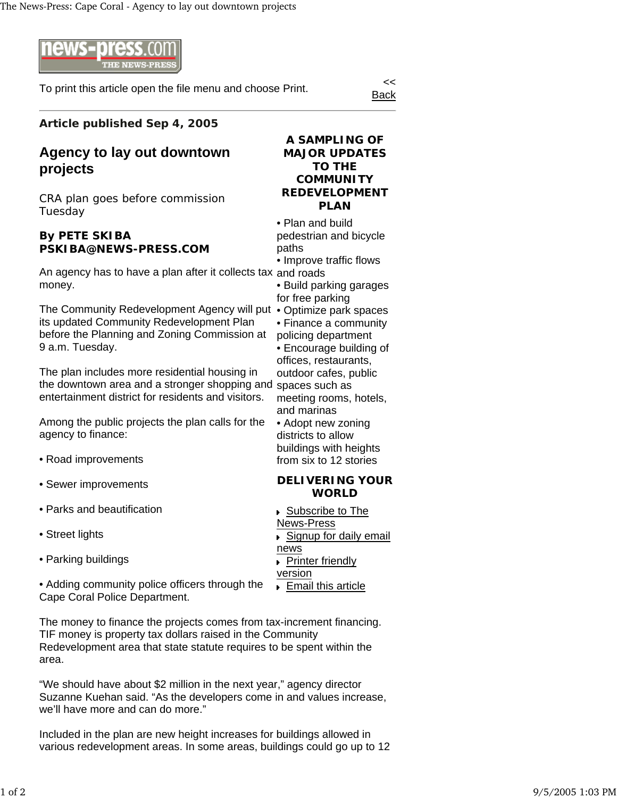

To print this article open the file menu and choose Print.

Back

### **Article published Sep 4, 2005**

# **Agency to lay out downtown projects**

CRA plan goes before commission Tuesday

#### **By PETE SKIBA PSKIBA@NEWS-PRESS.COM**

An agency has to have a plan after it collects tax and roads money.

The Community Redevelopment Agency will put • Optimize park spaces its updated Community Redevelopment Plan before the Planning and Zoning Commission at 9 a.m. Tuesday.

the downtown area and a stronger shopping and spaces such as The plan includes more residential housing in entertainment district for residents and visitors.

Among the public projects the plan calls for the agency to finance:

- Road improvements
- Sewer improvements
- Parks and beautification
- Street lights
- Parking buildings

• Adding community police officers through the Cape Coral Police Department.

The money to finance the projects comes from tax-increment financing. TIF money is property tax dollars raised in the Community Redevelopment area that state statute requires to be spent within the area.

"We should have about \$2 million in the next year," agency director Suzanne Kuehan said. "As the developers come in and values increase, we'll have more and can do more."

Included in the plan are new height increases for buildings allowed in various redevelopment areas. In some areas, buildings could go up to 12

## **A SAMPLING OF MAJOR UPDATES TO THE COMMUNITY REDEVELOPMENT PLAN**

• Plan and build pedestrian and bicycle paths

• Improve traffic flows

• Build parking garages for free parking

- 
- Finance a community
- policing department • Encourage building of offices, restaurants, outdoor cafes, public

meeting rooms, hotels, and marinas

• Adopt new zoning districts to allow buildings with heights from six to 12 stories

#### **DELIVERING YOUR WORLD**

- Subscribe to The News-Press
- Signup for daily email
- news **Printer friendly**
- version
- ▶ Email this article